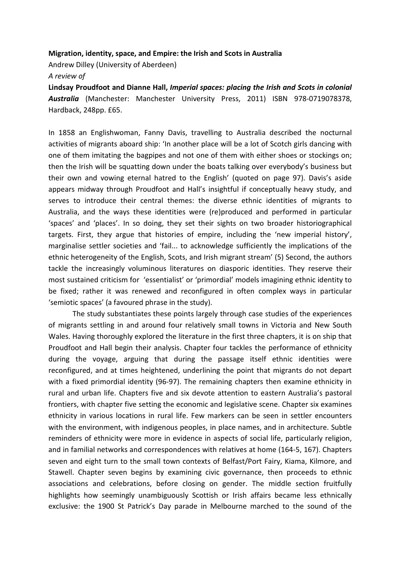## Migration, identity, space, and Empire: the Irish and Scots in Australia

Andrew Dilley (University of Aberdeen)

A review of

Lindsay Proudfoot and Dianne Hall, Imperial spaces: placing the Irish and Scots in colonial Australia (Manchester: Manchester University Press, 2011) ISBN 978-0719078378, Hardback, 248pp. £65.

In 1858 an Englishwoman, Fanny Davis, travelling to Australia described the nocturnal activities of migrants aboard ship: 'In another place will be a lot of Scotch girls dancing with one of them imitating the bagpipes and not one of them with either shoes or stockings on; then the Irish will be squatting down under the boats talking over everybody's business but their own and vowing eternal hatred to the English' (quoted on page 97). Davis's aside appears midway through Proudfoot and Hall's insightful if conceptually heavy study, and serves to introduce their central themes: the diverse ethnic identities of migrants to Australia, and the ways these identities were (re)produced and performed in particular 'spaces' and 'places'. In so doing, they set their sights on two broader historiographical targets. First, they argue that histories of empire, including the 'new imperial history', marginalise settler societies and 'fail... to acknowledge sufficiently the implications of the ethnic heterogeneity of the English, Scots, and Irish migrant stream' (5) Second, the authors tackle the increasingly voluminous literatures on diasporic identities. They reserve their most sustained criticism for 'essentialist' or 'primordial' models imagining ethnic identity to be fixed; rather it was renewed and reconfigured in often complex ways in particular 'semiotic spaces' (a favoured phrase in the study).

The study substantiates these points largely through case studies of the experiences of migrants settling in and around four relatively small towns in Victoria and New South Wales. Having thoroughly explored the literature in the first three chapters, it is on ship that Proudfoot and Hall begin their analysis. Chapter four tackles the performance of ethnicity during the voyage, arguing that during the passage itself ethnic identities were reconfigured, and at times heightened, underlining the point that migrants do not depart with a fixed primordial identity (96-97). The remaining chapters then examine ethnicity in rural and urban life. Chapters five and six devote attention to eastern Australia's pastoral frontiers, with chapter five setting the economic and legislative scene. Chapter six examines ethnicity in various locations in rural life. Few markers can be seen in settler encounters with the environment, with indigenous peoples, in place names, and in architecture. Subtle reminders of ethnicity were more in evidence in aspects of social life, particularly religion, and in familial networks and correspondences with relatives at home (164-5, 167). Chapters seven and eight turn to the small town contexts of Belfast/Port Fairy, Kiama, Kilmore, and Stawell. Chapter seven begins by examining civic governance, then proceeds to ethnic associations and celebrations, before closing on gender. The middle section fruitfully highlights how seemingly unambiguously Scottish or Irish affairs became less ethnically exclusive: the 1900 St Patrick's Day parade in Melbourne marched to the sound of the